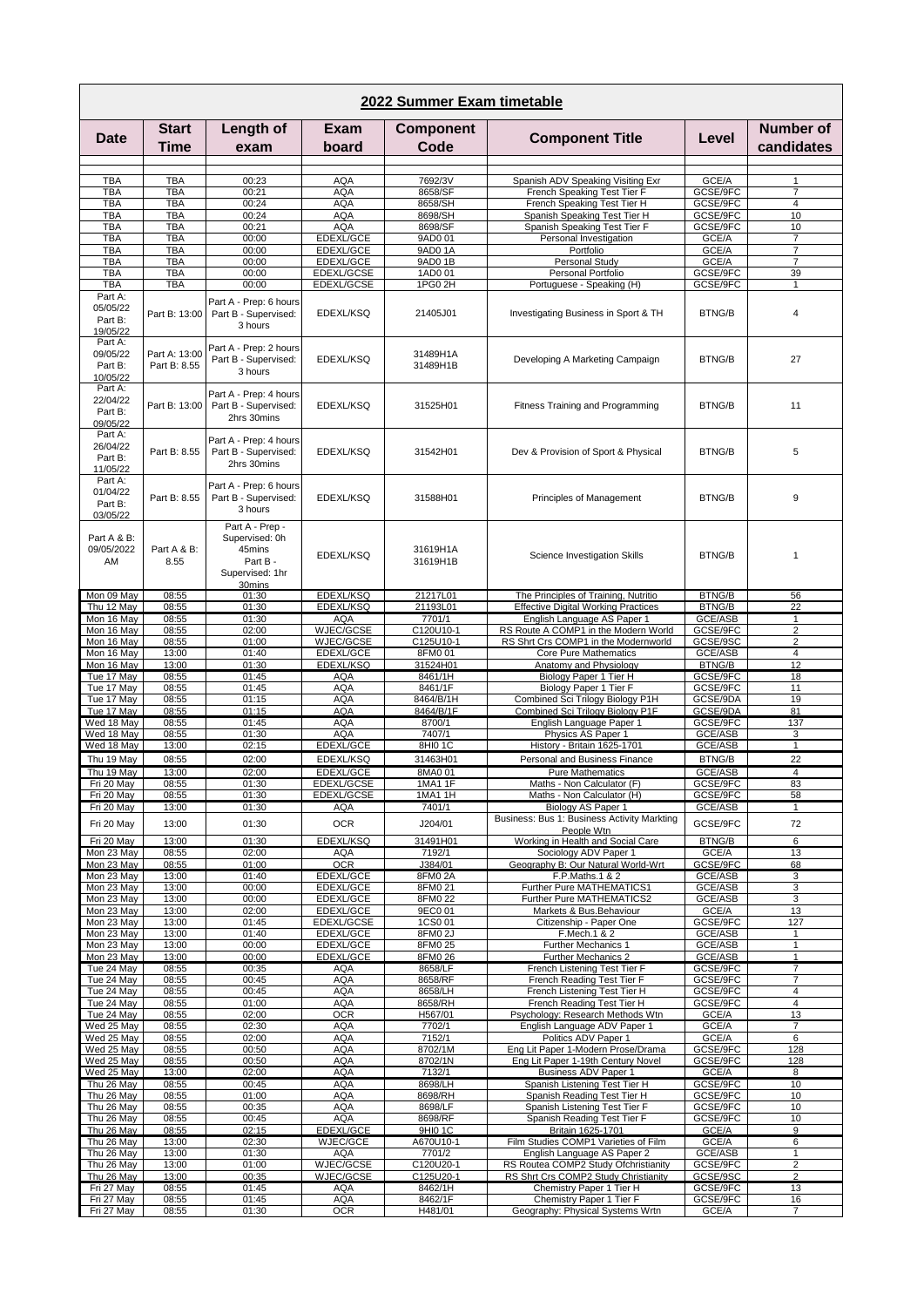| 2022 Summer Exam timetable                 |                               |                                                                                      |                          |                           |                                                                     |                           |                                |  |  |  |  |  |
|--------------------------------------------|-------------------------------|--------------------------------------------------------------------------------------|--------------------------|---------------------------|---------------------------------------------------------------------|---------------------------|--------------------------------|--|--|--|--|--|
| <b>Date</b>                                | Start<br>Time                 | Length of<br>exam                                                                    | Exam<br>board            | <b>Component</b><br>Code  | <b>Component Title</b>                                              | Level                     | <b>Number of</b><br>candidates |  |  |  |  |  |
|                                            |                               |                                                                                      |                          |                           |                                                                     |                           |                                |  |  |  |  |  |
| <b>TBA</b>                                 | TBA                           | 00:23                                                                                | <b>AQA</b>               | 7692/3V                   | Spanish ADV Speaking Visiting Exr                                   | GCE/A                     | 1                              |  |  |  |  |  |
| <b>TBA</b><br><b>TBA</b>                   | <b>TBA</b><br><b>TBA</b>      | 00:21<br>00:24                                                                       | <b>AQA</b><br><b>AQA</b> | 8658/SF<br>8658/SH        | French Speaking Test Tier F<br>French Speaking Test Tier H          | GCSE/9FC<br>GCSE/9FC      | 7<br>4                         |  |  |  |  |  |
| <b>TBA</b>                                 | <b>TBA</b>                    | 00:24                                                                                | <b>AQA</b>               | 8698/SH                   | Spanish Speaking Test Tier H                                        | GCSE/9FC                  | 10                             |  |  |  |  |  |
| TBA                                        | <b>TBA</b>                    | 00:21                                                                                | <b>AQA</b>               | 8698/SF                   | Spanish Speaking Test Tier F                                        | GCSE/9FC                  | 10                             |  |  |  |  |  |
| <b>TBA</b>                                 | <b>TBA</b>                    | 00:00                                                                                | EDEXL/GCE                | 9AD0 01                   | Personal Investigation                                              | GCE/A                     | 7<br>$\overline{7}$            |  |  |  |  |  |
| <b>TBA</b><br>TBA                          | <b>TBA</b><br><b>TBA</b>      | 00:00<br>00:00                                                                       | EDEXL/GCE<br>EDEXL/GCE   | 9AD0 1A<br>9AD0 1B        | Portfolio<br>Personal Study                                         | GCE/A<br>GCE/A            | $\overline{7}$                 |  |  |  |  |  |
| <b>TBA</b>                                 | <b>TBA</b>                    | 00:00                                                                                | EDEXL/GCSE               | 1AD0 01                   | Personal Portfolio                                                  | GCSE/9FC                  | 39                             |  |  |  |  |  |
| TBA                                        | <b>TBA</b>                    | 00:00                                                                                | EDEXL/GCSE               | 1PG0 2H                   | Portuguese - Speaking (H)                                           | GCSE/9FC                  | $\mathbf{1}$                   |  |  |  |  |  |
| Part A:<br>05/05/22<br>Part B:<br>19/05/22 | Part B: 13:00                 | Part A - Prep: 6 hours<br>Part B - Supervised:<br>3 hours                            | EDEXL/KSQ                | 21405J01                  | Investigating Business in Sport & TH                                | <b>BTNG/B</b>             | $\overline{4}$                 |  |  |  |  |  |
| Part A:<br>09/05/22<br>Part B:<br>10/05/22 | Part A: 13:00<br>Part B: 8.55 | Part A - Prep: 2 hours<br>Part B - Supervised:<br>3 hours                            | EDEXL/KSQ                | 31489H1A<br>31489H1B      | Developing A Marketing Campaign                                     | <b>BTNG/B</b>             | 27                             |  |  |  |  |  |
| Part A:<br>22/04/22<br>Part B:<br>09/05/22 | Part B: 13:00                 | Part A - Prep: 4 hours<br>Part B - Supervised:<br>2hrs 30mins                        | EDEXL/KSQ                | 31525H01                  | Fitness Training and Programming                                    | <b>BTNG/B</b>             | 11                             |  |  |  |  |  |
| Part A:<br>26/04/22<br>Part B:<br>11/05/22 | Part B: 8.55                  | Part A - Prep: 4 hours<br>Part B - Supervised:<br>2hrs 30mins                        | EDEXL/KSQ                | 31542H01                  | Dev & Provision of Sport & Physical                                 | <b>BTNG/B</b>             | 5                              |  |  |  |  |  |
| Part A:<br>01/04/22<br>Part B:<br>03/05/22 | Part B: 8.55                  | Part A - Prep: 6 hours<br>Part B - Supervised:<br>3 hours                            | EDEXL/KSQ                | 31588H01                  | Principles of Management                                            | <b>BTNG/B</b>             | 9                              |  |  |  |  |  |
| Part A & B:<br>09/05/2022<br>AM            | Part A & B:<br>8.55           | Part A - Prep -<br>Supervised: 0h<br>45mins<br>Part B -<br>Supervised: 1hr<br>30mins | EDEXL/KSQ                | 31619H1A<br>31619H1B      | Science Investigation Skills                                        | <b>BTNG/B</b>             | $\mathbf{1}$                   |  |  |  |  |  |
| Mon 09 May                                 | 08:55                         | 01:30                                                                                | <b>EDEXL/KSQ</b>         | 21217L01                  | The Principles of Training, Nutritio                                | <b>BTNG/B</b>             | 56                             |  |  |  |  |  |
| Thu 12 May                                 | 08:55                         | 01:30                                                                                | <b>EDEXL/KSQ</b>         | 21193L01                  | <b>Effective Digital Working Practices</b>                          | <b>BTNG/B</b>             | 22                             |  |  |  |  |  |
| Mon 16 May<br>Mon 16 May                   | 08:55<br>08:55                | 01:30<br>02:00                                                                       | <b>AQA</b><br>WJEC/GCSE  | 7701/1<br>C120U10-1       | English Language AS Paper 1<br>RS Route A COMP1 in the Modern World | GCE/ASB<br>GCSE/9FC       | $\mathbf{1}$<br>$\overline{2}$ |  |  |  |  |  |
| Mon 16 May                                 | 08:55                         | 01:00                                                                                | WJEC/GCSE                | C125U10-1                 | RS Shrt Crs COMP1 in the Modernworld                                | GCSE/9SC                  | $\overline{2}$                 |  |  |  |  |  |
| Mon 16 May                                 | 13:00                         | 01:40                                                                                | EDEXL/GCE                | 8FM0 01                   | Core Pure Mathematics                                               | GCE/ASB                   | 4                              |  |  |  |  |  |
| Mon 16 May<br>Tue 17 May                   | 13:00<br>08:55                | 01:30<br>01:45                                                                       | EDEXL/KSQ<br>AQA         | 31524H01<br>8461/1H       | Anatomy and Physiology<br>Biology Paper 1 Tier H                    | <b>BTNG/B</b><br>GCSE/9FC | 12<br>18                       |  |  |  |  |  |
| Tue 17 May                                 | 08:55                         | 01:45                                                                                | <b>AQA</b>               | 8461/1F                   | Biology Paper 1 Tier F                                              | GCSE/9FC                  | 11                             |  |  |  |  |  |
| Tue 17 May                                 | 08:55                         | 01:15                                                                                | <b>AQA</b>               | 8464/B/1H                 | Combined Sci Trilogy Biology P1H                                    | GCSE/9DA                  | 19                             |  |  |  |  |  |
| Tue 17 May                                 | 08:55                         | 01:15                                                                                | <b>AQA</b>               | 8464/B/1F                 | Combined Sci Trilogy Biology P1F                                    | GCSE/9DA                  | 81                             |  |  |  |  |  |
| Wed 18 May<br>Wed 18 May                   | 08:55<br>08:55                | 01:45<br>01:30                                                                       | <b>AQA</b><br><b>AQA</b> | 8700/1<br>7407/1          | English Language Paper 1<br>Physics AS Paper 1                      | GCSE/9FC<br>GCE/ASB       | 137<br>3                       |  |  |  |  |  |
| Wed 18 May                                 | 13:00                         | 02:15                                                                                | EDEXL/GCE                | 8HI0 1C                   | History - Britain 1625-1701                                         | GCE/ASB                   | $\mathbf{1}$                   |  |  |  |  |  |
| Thu 19 May                                 | 08:55                         | 02:00                                                                                | EDEXL/KSQ                | 31463H01                  | Personal and Business Finance                                       | <b>BTNG/B</b>             | 22                             |  |  |  |  |  |
| Thu 19 May                                 | 13:00                         | 02:00                                                                                | <b>EDEXL/GCE</b>         | 8MA0 01                   | <b>Pure Mathematics</b>                                             | GCE/ASB                   | $\overline{4}$                 |  |  |  |  |  |
| Fri 20 May<br>Fri 20 May                   | 08:55<br>08:55                | 01:30<br>01:30                                                                       | EDEXL/GCSE<br>EDEXL/GCSE | 1MA1 1F<br><b>1MA1 1H</b> | Maths - Non Calculator (F)<br>Maths - Non Calculator (H)            | GCSE/9FC<br>GCSE/9FC      | 83<br>58                       |  |  |  |  |  |
| Fri 20 May                                 | 13:00                         | 01:30                                                                                | <b>AQA</b>               | 7401/1                    | Biology AS Paper 1                                                  | GCE/ASB                   | $\mathbf{1}$                   |  |  |  |  |  |
| Fri 20 May                                 | 13:00                         | 01:30                                                                                | <b>OCR</b>               | J204/01                   | Business: Bus 1: Business Activity Markting                         | GCSE/9FC                  | 72                             |  |  |  |  |  |
|                                            |                               |                                                                                      |                          |                           | People Wtn                                                          |                           |                                |  |  |  |  |  |
| Fri 20 May<br>Mon 23 May                   | 13:00<br>08:55                | 01:30<br>02:00                                                                       | EDEXL/KSQ<br>AQA         | 31491H01<br>7192/1        | Working in Health and Social Care<br>Sociology ADV Paper 1          | <b>BTNG/B</b><br>GCE/A    | 6<br>13                        |  |  |  |  |  |
| Mon 23 May                                 | 08:55                         | 01:00                                                                                | <b>OCR</b>               | J384/01                   | Geography B: Our Natural World-Wrt                                  | GCSE/9FC                  | 68                             |  |  |  |  |  |
| Mon 23 May                                 | 13:00                         | 01:40                                                                                | EDEXL/GCE                | 8FM02A                    | F.P.Maths.1 & 2                                                     | GCE/ASB                   | 3                              |  |  |  |  |  |
| Mon 23 May<br>Mon 23 May                   | 13:00<br>13:00                | 00:00<br>00:00                                                                       | EDEXL/GCE<br>EDEXL/GCE   | 8FM0 21<br>8FM0 22        | Further Pure MATHEMATICS1<br>Further Pure MATHEMATICS2              | GCE/ASB<br>GCE/ASB        | 3<br>3                         |  |  |  |  |  |
| Mon 23 May                                 | 13:00                         | 02:00                                                                                | EDEXL/GCE                | 9EC0 01                   | Markets & Bus.Behaviour                                             | GCE/A                     | 13                             |  |  |  |  |  |
| Mon 23 May                                 | 13:00                         | 01:45                                                                                | EDEXL/GCSE               | 1CS0 01                   | Citizenship - Paper One                                             | GCSE/9FC                  | 127                            |  |  |  |  |  |
| Mon 23 May<br>Mon 23 May                   | 13:00<br>13:00                | 01:40<br>00:00                                                                       | EDEXL/GCE<br>EDEXL/GCE   | 8FM0 2J<br>8FM0 25        | F.Mech.1 & 2<br>Further Mechanics 1                                 | GCE/ASB<br>GCE/ASB        | $\mathbf{1}$<br>$\mathbf{1}$   |  |  |  |  |  |
| Mon 23 May                                 | 13:00                         | 00:00                                                                                | EDEXL/GCE                | 8FM0 26                   | <b>Further Mechanics 2</b>                                          | GCE/ASB                   | $\mathbf{1}$                   |  |  |  |  |  |
| Tue 24 May                                 | 08:55                         | 00:35                                                                                | AQA                      | 8658/LF                   | French Listening Test Tier F                                        | GCSE/9FC                  | 7                              |  |  |  |  |  |
| Tue 24 May                                 | 08:55                         | 00:45                                                                                | <b>AQA</b>               | 8658/RF                   | French Reading Test Tier F                                          | GCSE/9FC                  | 7                              |  |  |  |  |  |
| Tue 24 May<br>Tue 24 May                   | 08:55<br>08:55                | 00:45<br>01:00                                                                       | <b>AQA</b><br><b>AQA</b> | 8658/LH<br>8658/RH        | French Listening Test Tier H<br>French Reading Test Tier H          | GCSE/9FC<br>GCSE/9FC      | 4<br>4                         |  |  |  |  |  |
| Tue 24 May                                 | 08:55                         | 02:00                                                                                | <b>OCR</b>               | H567/01                   | Psychology: Research Methods Wtn                                    | GCE/A                     | 13                             |  |  |  |  |  |
| Wed 25 May                                 | 08:55                         | 02:30                                                                                | AQA                      | 7702/1                    | English Language ADV Paper 1                                        | GCE/A                     | 7                              |  |  |  |  |  |
| Wed 25 May<br>Wed 25 May                   | 08:55<br>08:55                | 02:00<br>00:50                                                                       | <b>AQA</b><br><b>AQA</b> | 7152/1<br>8702/1M         | Politics ADV Paper 1<br>Eng Lit Paper 1-Modern Prose/Drama          | GCE/A<br>GCSE/9FC         | 6<br>128                       |  |  |  |  |  |
| Wed 25 May                                 | 08:55                         | 00:50                                                                                | <b>AQA</b>               | 8702/1N                   | Eng Lit Paper 1-19th Century Novel                                  | GCSE/9FC                  | 128                            |  |  |  |  |  |
| Wed 25 May                                 | 13:00                         | 02:00                                                                                | <b>AQA</b>               | 7132/1                    | Business ADV Paper 1                                                | GCE/A                     | 8                              |  |  |  |  |  |
| Thu 26 May                                 | 08:55                         | 00:45                                                                                | <b>AQA</b>               | 8698/LH                   | Spanish Listening Test Tier H                                       | GCSE/9FC                  | 10                             |  |  |  |  |  |
| Thu 26 May<br>Thu 26 May                   | 08:55<br>08:55                | 01:00<br>00:35                                                                       | <b>AQA</b><br><b>AQA</b> | 8698/RH<br>8698/LF        | Spanish Reading Test Tier H<br>Spanish Listening Test Tier F        | GCSE/9FC<br>GCSE/9FC      | 10<br>10                       |  |  |  |  |  |
| Thu 26 May                                 | 08:55                         | 00:45                                                                                | <b>AQA</b>               | 8698/RF                   | Spanish Reading Test Tier F                                         | GCSE/9FC                  | 10                             |  |  |  |  |  |
| Thu 26 May                                 | 08:55                         | 02:15                                                                                | EDEXL/GCE                | 9HI0 1C                   | Britain 1625-1701                                                   | GCE/A                     | 9                              |  |  |  |  |  |
| Thu 26 May<br>Thu 26 May                   | 13:00<br>13:00                | 02:30<br>01:30                                                                       | WJEC/GCE<br><b>AQA</b>   | A670U10-1<br>7701/2       | Film Studies COMP1 Varieties of Film<br>English Language AS Paper 2 | GCE/A<br>GCE/ASB          | 6<br>$\mathbf{1}$              |  |  |  |  |  |
| Thu 26 May                                 | 13:00                         | 01:00                                                                                | WJEC/GCSE                | C120U20-1                 | RS Routea COMP2 Study Ofchristianity                                | GCSE/9FC                  | $\overline{\mathbf{c}}$        |  |  |  |  |  |
| Thu 26 May                                 | 13:00                         | 00:35                                                                                | WJEC/GCSE                | C125U20-1                 | RS Shrt Crs COMP2 Study Christianity                                | GCSE/9SC                  | $\overline{2}$                 |  |  |  |  |  |
| Fri 27 May                                 | 08:55                         | 01:45                                                                                | <b>AQA</b>               | 8462/1H                   | Chemistry Paper 1 Tier H                                            | GCSE/9FC                  | 13                             |  |  |  |  |  |
| Fri 27 May<br>Fri 27 May                   | 08:55<br>08:55                | 01:45<br>01:30                                                                       | AQA<br><b>OCR</b>        | 8462/1F<br>H481/01        | Chemistry Paper 1 Tier F<br>Geography: Physical Systems Wrtn        | GCSE/9FC<br>GCE/A         | 16<br>$\overline{7}$           |  |  |  |  |  |